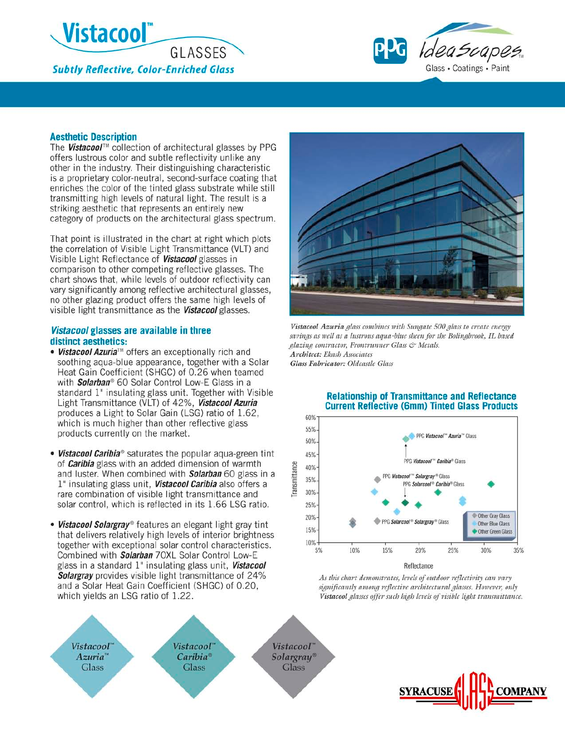



## **Aesthetic Description**

The Vistacool™ collection of architectural glasses by PPG offers lustrous color and subtle reflectivity unlike any other in the industry. Their distinguishing characteristic is a proprietary color-neutral, second-surface coating that enriches the color of the tinted glass substrate while still transmitting high levels of natural light. The result is a striking aesthetic that represents an entirely new category of products on the architectural glass spectrum.

That point is illustrated in the chart at right which plots the correlation of Visible Light Transmittance (VLT) and Visible Light Reflectance of Vistacool glasses in comparison to other competing reflective glasses. The chart shows that, while levels of outdoor reflectivity can vary significantly among reflective architectural glasses, no other glazing product offers the same high levels of visible light transmittance as the Vistacool glasses.

# Vistacool glasses are available in three distinct aesthetics:

- Vistacool Azuria™ offers an exceptionally rich and soothing aqua-blue appearance, together with a Solar Heat Gain Coefficient (SHGC) of 0.26 when teamed with Solarban® 60 Solar Control Low-E Glass in a standard 1" insulating glass unit. Together with Visible Light Transmittance (VLT) of 42%, Vistacool Azuria produces a Light to Solar Gain (LSG) ratio of 1.62, which is much higher than other reflective glass products currently on the market.
- . Vistacool Caribia<sup>®</sup> saturates the popular aqua-green tint of **Caribia** glass with an added dimension of warmth and luster. When combined with **Solarban** 60 glass in a 1" insulating glass unit, Vistacool Caribia also offers a rare combination of visible light transmittance and solar control, which is reflected in its 1.66 LSG ratio.
- . Vistacool Solargray® features an elegant light gray tint that delivers relatively high levels of interior brightness together with exceptional solar control characteristics. Combined with Solarban 70XL Solar Control Low-E glass in a standard 1" insulating glass unit, Vistacool **Solargray** provides visible light transmittance of 24% and a Solar Heat Gain Coefficient (SHGC) of 0.20, which yields an LSG ratio of 1.22.





Vistacool Azuria glass combines with Sungate 500 glass to create energy savings as well as a lustrous aqua-blue sheen for the Bolingbrook, IL based glazing contractor, Frontrunner Glass & Metals. Architect: Ekash Associates Glass Fabricator: Oldcastle Glass



## **Relationship of Transmittance and Reflectance Current Reflective (6mm) Tinted Glass Products**

As this chart demonstrates, levels of outdoor reflectivity can vary significantly among reflective architectural glasses. However, only Vistacool glasses offer such high levels of visible light transmittance.